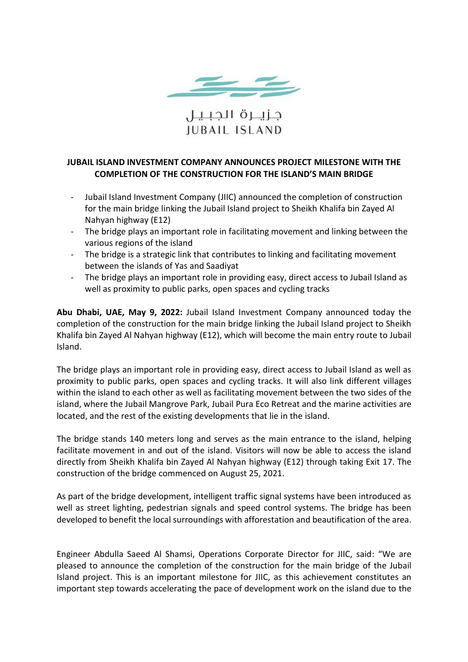

جزيــرة الجبـيـل **IUBAIL ISLAND** 

## **JUBAIL ISLAND INVESTMENT COMPANY ANNOUNCES PROJECT MILESTONE WITH THE COMPLETION OF THE CONSTRUCTION FOR THE ISLAND'S MAIN BRIDGE**

- Jubail Island Investment Company (JIIC) announced the completion of construction for the main bridge linking the Jubail Island project to Sheikh Khalifa bin Zayed Al Nahyan highway (E12)
- The bridge plays an important role in facilitating movement and linking between the various regions of the island
- The bridge is a strategic link that contributes to linking and facilitating movement between the islands of Yas and Saadiyat
- The bridge plays an important role in providing easy, direct access to Jubail Island as well as proximity to public parks, open spaces and cycling tracks

**Abu Dhabi, UAE, May 9, 2022:** Jubail Island Investment Company announced today the completion of the construction for the main bridge linking the Jubail Island project to Sheikh Khalifa bin Zayed Al Nahyan highway (E12), which will become the main entry route to Jubail Island.

The bridge plays an important role in providing easy, direct access to Jubail Island as well as proximity to public parks, open spaces and cycling tracks. It will also link different villages within the island to each other as well as facilitating movement between the two sides of the island, where the Jubail Mangrove Park, Jubail Pura Eco Retreat and the marine activities are located, and the rest of the existing developments that lie in the island.

The bridge stands 140 meters long and serves as the main entrance to the island, helping facilitate movement in and out of the island. Visitors will now be able to access the island directly from Sheikh Khalifa bin Zayed Al Nahyan highway (E12) through taking Exit 17. The construction of the bridge commenced on August 25, 2021.

As part of the bridge development, intelligent traffic signal systems have been introduced as well as street lighting, pedestrian signals and speed control systems. The bridge has been developed to benefit the local surroundings with afforestation and beautification of the area.

Engineer Abdulla Saeed Al Shamsi, Operations Corporate Director for JIIC, said: "We are pleased to announce the completion of the construction for the main bridge of the Jubail Island project. This is an important milestone for JIIC, as this achievement constitutes an important step towards accelerating the pace of development work on the island due to the